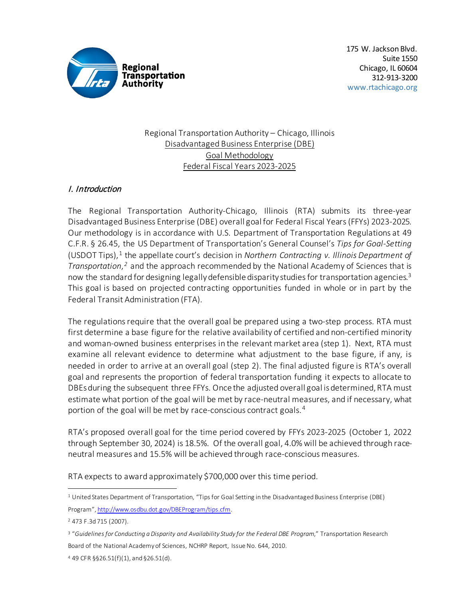

### Regional Transportation Authority – Chicago, Illinois Disadvantaged Business Enterprise (DBE) Goal Methodology Federal Fiscal Years 2023-2025

# I. Introduction

The Regional Transportation Authority-Chicago, Illinois (RTA) submits its three-year Disadvantaged Business Enterprise (DBE) overall goal for Federal Fiscal Years (FFYs) 2023-2025. Our methodology is in accordance with U.S. Department of Transportation Regulations at 49 C.F.R. § 26.45, the US Department of Transportation's General Counsel's *Tips for Goal-Setting* (USDOT Tips),<sup>[1](#page-0-0)</sup> the appellate court's decision in *Northern Contracting v. Illinois Department of Transportation*,*[2](#page-0-1)* and the approach recommended by the National Academy of Sciences that is now the standard for designing legally defensible disparity studies for transportation agencies.<sup>[3](#page-0-2)</sup> This goal is based on projected contracting opportunities funded in whole or in part by the Federal Transit Administration (FTA).

The regulations require that the overall goal be prepared using a two-step process. RTA must first determine a base figure for the relative availability of certified and non-certified minority and woman-owned business enterprises in the relevant market area (step 1). Next, RTA must examine all relevant evidence to determine what adjustment to the base figure, if any, is needed in order to arrive at an overall goal (step 2). The final adjusted figure is RTA's overall goal and represents the proportion of federal transportation funding it expects to allocate to DBEs during the subsequent three FFYs. Once the adjusted overall goal is determined, RTA must estimate what portion of the goal will be met by race-neutral measures, and if necessary, what portion of the goal will be met by race-conscious contract goals.<sup>[4](#page-0-3)</sup>

RTA's proposed overall goal for the time period covered by FFYs 2023-2025 (October 1, 2022 through September 30, 2024) is 18.5%. Of the overall goal, 4.0% will be achieved through raceneutral measures and 15.5% will be achieved through race-conscious measures.

RTA expects to award approximately \$700,000 over this time period.

<span id="page-0-1"></span><sup>2</sup> 473 F.3d 715 (2007).

<span id="page-0-0"></span><sup>1</sup> United States Department of Transportation, "Tips for Goal Setting in the Disadvantaged Business Enterprise (DBE) Program"[, http://www.osdbu.dot.gov/DBEProgram/tips.cfm.](http://www.osdbu.dot.gov/DBEProgram/tips.cfm) 

<span id="page-0-2"></span><sup>3 &</sup>quot;*Guidelines for Conducting a Disparity and Availability Study for the Federal DBE Program*," Transportation Research Board of the National Academy of Sciences, NCHRP Report, Issue No. 644, 2010.

<span id="page-0-3"></span><sup>4</sup> 49 CFR §§26.51(f)(1), and §26.51(d).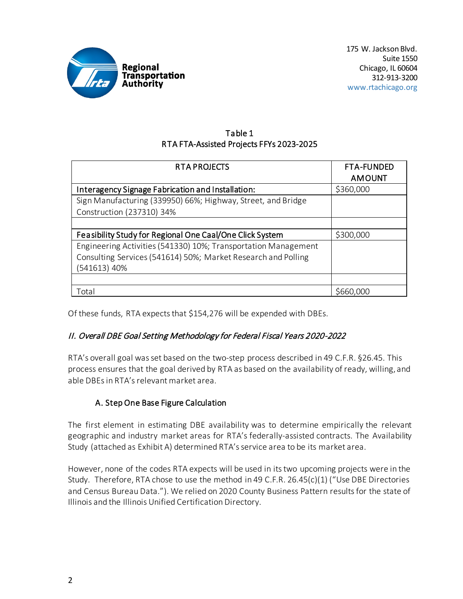

### Table 1 RTA FTA-Assisted Projects FFYs 2023-2025

| <b>RTA PROJECTS</b>                                            | <b>FTA-FUNDED</b> |
|----------------------------------------------------------------|-------------------|
|                                                                | <b>AMOUNT</b>     |
| Interagency Signage Fabrication and Installation:              | \$360,000         |
| Sign Manufacturing (339950) 66%; Highway, Street, and Bridge   |                   |
| Construction (237310) 34%                                      |                   |
|                                                                |                   |
| Feasibility Study for Regional One Caal/One Click System       | \$300,000         |
| Engineering Activities (541330) 10%; Transportation Management |                   |
| Consulting Services (541614) 50%; Market Research and Polling  |                   |
| (541613) 40%                                                   |                   |
|                                                                |                   |
| Total                                                          | \$660,000         |

Of these funds, RTA expects that \$154,276 will be expended with DBEs.

# II. Overall DBE Goal Setting Methodology for Federal Fiscal Years 2020-2022

RTA's overall goal was set based on the two-step process described in 49 C.F.R. §26.45. This process ensures that the goal derived by RTA as based on the availability of ready, willing, and able DBEs in RTA'srelevant market area.

# A. Step One Base Figure Calculation

The first element in estimating DBE availability was to determine empirically the relevant geographic and industry market areas for RTA's federally-assisted contracts. The Availability Study (attached as Exhibit A) determined RTA's service area to be its market area.

However, none of the codes RTA expects will be used in its two upcoming projects were in the Study. Therefore, RTA chose to use the method in 49 C.F.R. 26.45(c)(1) ("Use DBE Directories and Census Bureau Data."). We relied on 2020 County Business Pattern results for the state of Illinois and the Illinois Unified Certification Directory.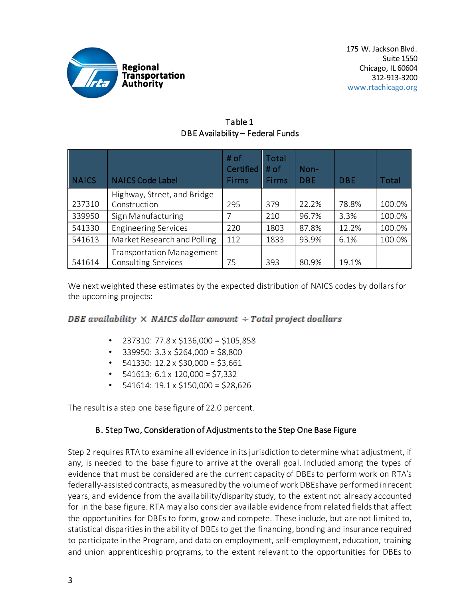

| <b>NAICS</b> | <b>NAICS Code Label</b>                                        | # of<br><b>Certified</b><br>Firms | Total<br># of<br><b>Firms</b> | Non-<br><b>DBE</b> | <b>DBE</b> | Total  |
|--------------|----------------------------------------------------------------|-----------------------------------|-------------------------------|--------------------|------------|--------|
| 237310       | Highway, Street, and Bridge<br>Construction                    | 295                               | 379                           | 22.2%              | 78.8%      | 100.0% |
| 339950       | Sign Manufacturing                                             |                                   | 210                           | 96.7%              | 3.3%       | 100.0% |
| 541330       | <b>Engineering Services</b>                                    | 220                               | 1803                          | 87.8%              | 12.2%      | 100.0% |
| 541613       | Market Research and Polling                                    | 112                               | 1833                          | 93.9%              | 6.1%       | 100.0% |
| 541614       | <b>Transportation Management</b><br><b>Consulting Services</b> | 75                                | 393                           | 80.9%              | 19.1%      |        |

### Table 1 DBE Availability – Federal Funds

We next weighted these estimates by the expected distribution of NAICS codes by dollars for the upcoming projects:

# DBE availability  $\times$  NAICS dollar amount  $\div$  Total project doallars

- 237310: 77.8 x \$136,000 = \$105,858
- 339950: 3.3 x \$264,000 = \$8,800
- $\cdot$  541330: 12.2 x \$30,000 = \$3,661
- 541613: 6.1 x 120,000 = \$7,332
- 541614: 19.1 x \$150,000 = \$28,626

The result is a step one base figure of 22.0 percent.

# B. Step Two, Consideration of Adjustments to the Step One Base Figure

Step 2 requires RTA to examine all evidence in its jurisdiction to determine what adjustment, if any, is needed to the base figure to arrive at the overall goal. Included among the types of evidence that must be considered are the current capacity of DBEs to perform work on RTA's federally-assisted contracts, as measured by the volume of work DBEs have performed in recent years, and evidence from the availability/disparity study, to the extent not already accounted for in the base figure. RTA may also consider available evidence from related fields that affect the opportunities for DBEs to form, grow and compete. These include, but are not limited to, statistical disparities in the ability of DBEs to get the financing, bonding and insurance required to participate in the Program, and data on employment, self-employment, education, training and union apprenticeship programs, to the extent relevant to the opportunities for DBEs to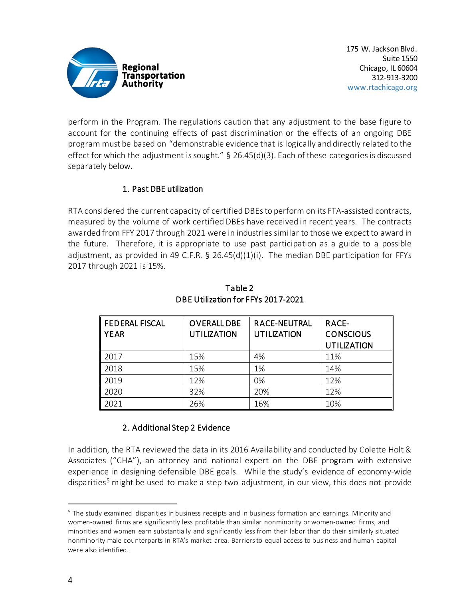

perform in the Program. The regulations caution that any adjustment to the base figure to account for the continuing effects of past discrimination or the effects of an ongoing DBE program must be based on "demonstrable evidence that is logically and directly related to the effect for which the adjustment is sought." § 26.45(d)(3). Each of these categories is discussed separately below.

### 1. Past DBE utilization

RTA considered the current capacity of certified DBEs to perform on its FTA-assisted contracts, measured by the volume of work certified DBEs have received in recent years. The contracts awarded from FFY 2017 through 2021 were in industries similar to those we expect to award in the future. Therefore, it is appropriate to use past participation as a guide to a possible adjustment, as provided in 49 C.F.R. § 26.45(d)(1)(i). The median DBE participation for FFYs 2017 through 2021 is 15%.

| <b>FEDERAL FISCAL</b><br><b>YEAR</b> | <b>OVERALL DBE</b><br><b>UTILIZATION</b> | <b>RACE-NEUTRAL</b><br><b>UTILIZATION</b> | <b>RACE-</b><br><b>CONSCIOUS</b><br><b>UTILIZATION</b> |
|--------------------------------------|------------------------------------------|-------------------------------------------|--------------------------------------------------------|
| 2017                                 | 15%                                      | 4%                                        | 11%                                                    |
| 2018                                 | 15%                                      | 1%                                        | 14%                                                    |
| 2019                                 | 12%                                      | 0%                                        | 12%                                                    |
| 2020                                 | 32%                                      | 20%                                       | 12%                                                    |
| 2021                                 | 26%                                      | 16%                                       | 10%                                                    |

Table 2 DBE Utilization for FFYs 2017-2021

### 2. Additional Step 2 Evidence

In addition, the RTA reviewed the data in its 2016 Availability and conducted by Colette Holt & Associates ("CHA"), an attorney and national expert on the DBE program with extensive experience in designing defensible DBE goals. While the study's evidence of economy-wide disparities<sup>[5](#page-3-0)</sup> might be used to make a step two adjustment, in our view, this does not provide

<span id="page-3-0"></span><sup>&</sup>lt;sup>5</sup> The study examined disparities in business receipts and in business formation and earnings. Minority and women-owned firms are significantly less profitable than similar nonminority or women-owned firms, and minorities and women earn substantially and significantly less from their labor than do their similarly situated nonminority male counterparts in RTA's market area. Barriers to equal access to business and human capital were also identified.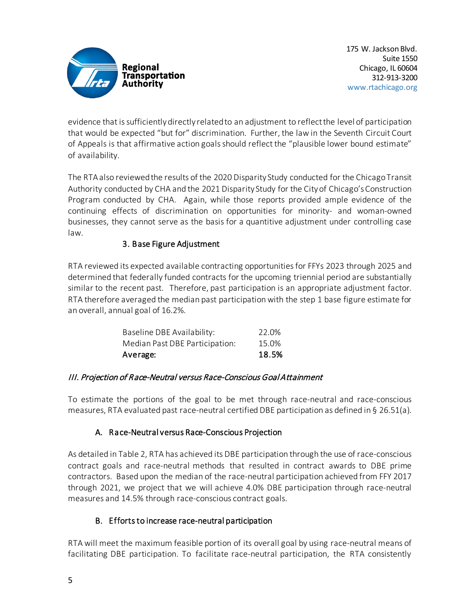

evidence that is sufficiently directly related to an adjustment to reflect the level of participation that would be expected "but for" discrimination. Further, the law in the Seventh Circuit Court of Appeals is that affirmative action goals should reflect the "plausible lower bound estimate" of availability.

The RTA also reviewed the results of the 2020 Disparity Study conducted for the Chicago Transit Authority conducted by CHA and the 2021 Disparity Study for the City of Chicago's Construction Program conducted by CHA. Again, while those reports provided ample evidence of the continuing effects of discrimination on opportunities for minority- and woman-owned businesses, they cannot serve as the basis for a quantitive adjustment under controlling case law.

# 3. Base Figure Adjustment

RTA reviewed its expected available contracting opportunities for FFYs 2023 through 2025 and determined that federally funded contracts for the upcoming triennial period are substantially similar to the recent past. Therefore, past participation is an appropriate adjustment factor. RTA therefore averaged the median past participation with the step 1 base figure estimate for an overall, annual goal of 16.2%.

| Average:                       | 18.5% |
|--------------------------------|-------|
| Median Past DBE Participation: | 15.0% |
| Baseline DBE Availability:     | 22.0% |

### III. Projection of Race-Neutral versus Race-Conscious Goal Attainment

To estimate the portions of the goal to be met through race-neutral and race-conscious measures, RTA evaluated past race-neutral certified DBE participation as defined in § 26.51(a).

# A. Race-Neutral versus Race-Conscious Projection

As detailed in Table 2, RTA has achieved its DBE participation through the use of race-conscious contract goals and race-neutral methods that resulted in contract awards to DBE prime contractors. Based upon the median of the race-neutral participation achieved from FFY 2017 through 2021, we project that we will achieve 4.0% DBE participation through race-neutral measures and 14.5% through race-conscious contract goals.

# B. Efforts to increase race-neutral participation

RTA will meet the maximum feasible portion of its overall goal by using race-neutral means of facilitating DBE participation. To facilitate race-neutral participation, the RTA consistently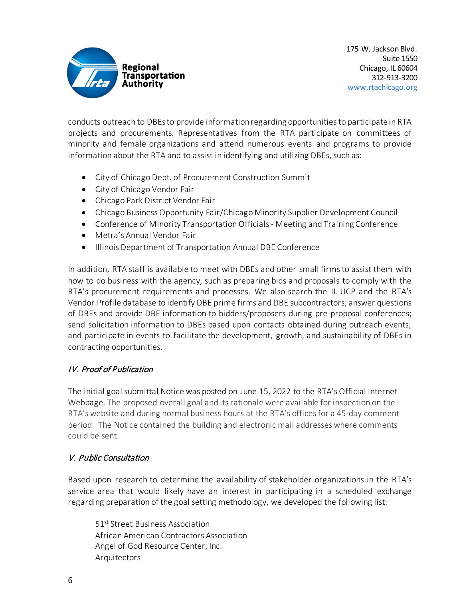

conducts outreach to DBEs to provide information regarding opportunities to participate in RTA projects and procurements. Representatives from the RTA participate on committees of minority and female organizations and attend numerous events and programs to provide information about the RTA and to assist in identifying and utilizing DBEs, such as:

- City of Chicago Dept. of Procurement Construction Summit
- City of Chicago Vendor Fair
- Chicago Park District Vendor Fair
- Chicago Business Opportunity Fair/Chicago Minority Supplier Development Council
- Conference of Minority Transportation Officials Meeting and Training Conference
- Metra's Annual Vendor Fair
- Illinois Department of Transportation Annual DBE Conference

In addition, RTA staff is available to meet with DBEs and other small firms to assist them with how to do business with the agency, such as preparing bids and proposals to comply with the RTA's procurement requirements and processes. We also search the IL UCP and the RTA's Vendor Profile database to identify DBE prime firms and DBE subcontractors; answer questions of DBEs and provide DBE information to bidders/proposers during pre-proposal conferences; send solicitation information to DBEs based upon contacts obtained during outreach events; and participate in events to facilitate the development, growth, and sustainability of DBEs in contracting opportunities.

# IV. Proof of Publication

The initial goal submittal Notice was posted on June 15, 2022 to the RTA's Official Internet Webpage. The proposed overall goal and its rationale were available for inspection on the RTA's website and during normal business hours at the RTA's offices for a 45-day comment period. The Notice contained the building and electronic mail addresses where comments could be sent.

### V. Public Consultation

Based upon research to determine the availability of stakeholder organizations in the RTA's service area that would likely have an interest in participating in a scheduled exchange regarding preparation of the goal setting methodology, we developed the following list:

51st Street Business Association African American Contractors Association Angel of God Resource Center, Inc. Arquitectors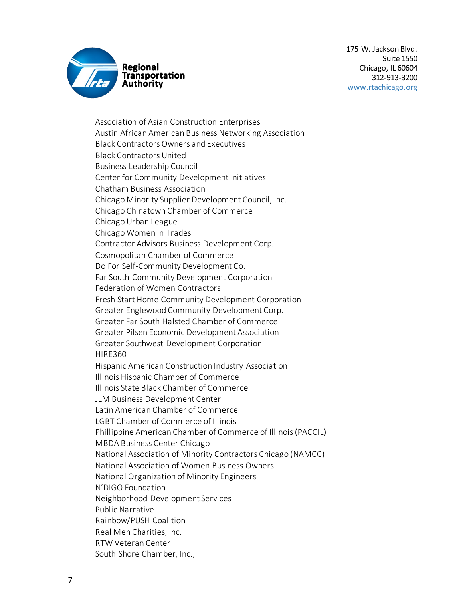

Association of Asian Construction Enterprises Austin African American Business Networking Association Black Contractors Owners and Executives Black Contractors United Business Leadership Council Center for Community Development Initiatives Chatham Business Association Chicago Minority Supplier Development Council, Inc. Chicago Chinatown Chamber of Commerce Chicago Urban League Chicago Women in Trades Contractor Advisors Business Development Corp. Cosmopolitan Chamber of Commerce Do For Self-Community Development Co. Far South Community Development Corporation Federation of Women Contractors Fresh Start Home Community Development Corporation Greater Englewood Community Development Corp. Greater Far South Halsted Chamber of Commerce Greater Pilsen Economic Development Association Greater Southwest Development Corporation HIRE360 Hispanic American Construction Industry Association Illinois Hispanic Chamber of Commerce Illinois State Black Chamber of Commerce JLM Business Development Center Latin American Chamber of Commerce LGBT Chamber of Commerce of Illinois Phillippine American Chamber of Commerce of Illinois (PACCIL) MBDA Business Center Chicago National Association of Minority Contractors Chicago (NAMCC) National Association of Women Business Owners National Organization of Minority Engineers N'DIGO Foundation Neighborhood Development Services Public Narrative Rainbow/PUSH Coalition Real Men Charities, Inc. RTW Veteran Center South Shore Chamber, Inc.,